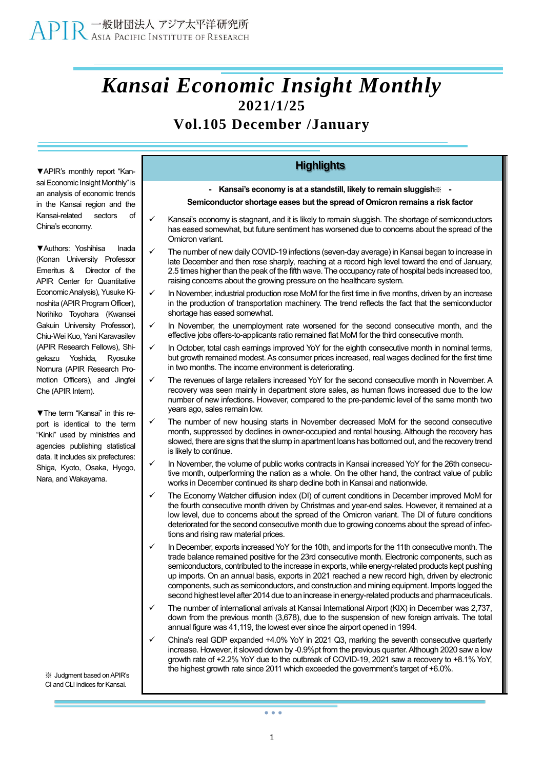## *Kansai Economic Insight Monthly* **2021/1/25**

## **Vol.105 December /January**

**▼**APIR's monthly report "Kansai Economic Insight Monthly" is an analysis of economic trends in the Kansai region and the Kansai-related sectors of China's economy.

**▼**Authors: Yoshihisa Inada (Konan University Professor Emeritus & Director of the APIR Center for Quantitative Economic Analysis), Yusuke Kinoshita (APIR Program Officer), Norihiko Toyohara (Kwansei Gakuin University Professor), Chiu-Wei Kuo, Yani Karavasilev (APIR Research Fellows), Shigekazu Yoshida, Ryosuke Nomura (APIR Research Promotion Officers), and Jingfei Che (APIR Intern).

**▼**The term "Kansai" in this report is identical to the term "Kinki" used by ministries and agencies publishing statistical data. It includes six prefectures: Shiga, Kyoto, Osaka, Hyogo, Nara, and Wakayama.

※ Judgment based onAPIR's CI and CLI indices for Kansai.

## **Highlights**

**- Kansai's economy is at a standstill, likely to remain sluggish**※ **-**

**Semiconductor shortage eases but the spread of Omicron remains a risk factor**

- Kansai's economy is stagnant, and it is likely to remain sluggish. The shortage of semiconductors has eased somewhat, but future sentiment has worsened due to concerns about the spread of the Omicron variant.
- The number of new daily COVID-19 infections (seven-day average) in Kansai began to increase in late December and then rose sharply, reaching at a record high level toward the end of January, 2.5 times higher than the peak of the fifth wave. The occupancy rate of hospital beds increased too, raising concerns about the growing pressure on the healthcare system.
- In November, industrial production rose MoM for the first time in five months, driven by an increase in the production of transportation machinery. The trend reflects the fact that the semiconductor shortage has eased somewhat.
- In November, the unemployment rate worsened for the second consecutive month, and the effective jobs offers-to-applicants ratio remained flat MoM for the third consecutive month.
- In October, total cash earnings improved YoY for the eighth consecutive month in nominal terms, but growth remained modest. As consumer prices increased, real wages declined for the first time in two months. The income environment is deteriorating.
- The revenues of large retailers increased YoY for the second consecutive month in November. A recovery was seen mainly in department store sales, as human flows increased due to the low number of new infections. However, compared to the pre-pandemic level of the same month two years ago, sales remain low.
- The number of new housing starts in November decreased MoM for the second consecutive month, suppressed by declines in owner-occupied and rental housing. Although the recovery has slowed, there are signs that the slump in apartment loans has bottomed out, and the recovery trend is likely to continue.
- In November, the volume of public works contracts in Kansai increased YoY for the 26th consecutive month, outperforming the nation as a whole. On the other hand, the contract value of public works in December continued its sharp decline both in Kansai and nationwide.
- The Economy Watcher diffusion index (DI) of current conditions in December improved MoM for the fourth consecutive month driven by Christmas and year-end sales. However, it remained at a low level, due to concerns about the spread of the Omicron variant. The DI of future conditions deteriorated for the second consecutive month due to growing concerns about the spread of infections and rising raw material prices.
- In December, exports increased YoY for the 10th, and imports for the 11th consecutive month. The trade balance remained positive for the 23rd consecutive month. Electronic components, such as semiconductors, contributed to the increase in exports, while energy-related products kept pushing up imports. On an annual basis, exports in 2021 reached a new record high, driven by electronic components, such as semiconductors, and construction and mining equipment. Imports logged the second highest level after 2014 due to an increase in energy-related products and pharmaceuticals.
- The number of international arrivals at Kansai International Airport (KIX) in December was 2,737, down from the previous month (3,678), due to the suspension of new foreign arrivals. The total annual figure was 41,119, the lowest ever since the airport opened in 1994.
- ✓ China's real GDP expanded +4.0% YoY in 2021 Q3, marking the seventh consecutive quarterly increase. However, it slowed down by -0.9%pt from the previous quarter. Although 2020 saw a low growth rate of +2.2% YoY due to the outbreak of COVID-19, 2021 saw a recovery to +8.1% YoY, the highest growth rate since 2011 which exceeded the government's target of +6.0%.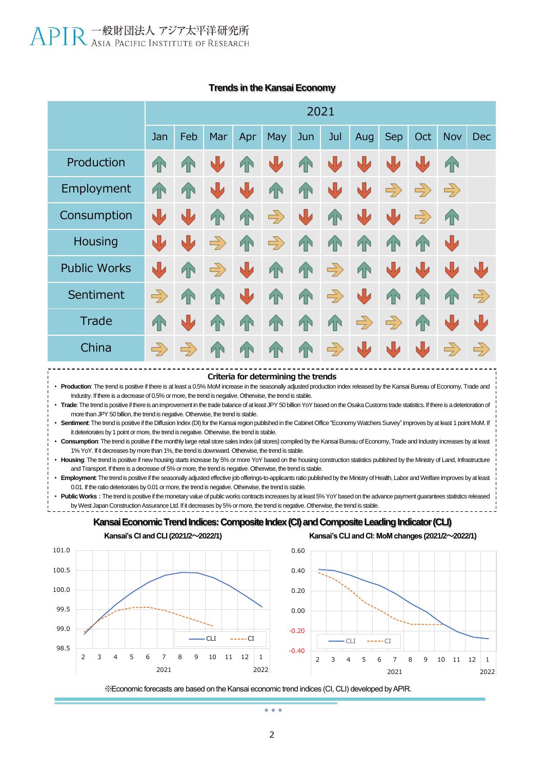|                     | 2021          |               |               |              |               |           |               |               |               |               |               |               |
|---------------------|---------------|---------------|---------------|--------------|---------------|-----------|---------------|---------------|---------------|---------------|---------------|---------------|
|                     | Jan           | Feb           | Mar           | Apr          | May           | Jun       | Jul           | <b>Aug</b>    | <b>Sep</b>    | Oct           | <b>Nov</b>    | <b>Dec</b>    |
| Production          | T             | TN            | 业             | 41           | N             | <b>TN</b> | ₩             | N             | N             | N             | <b>1</b> N    |               |
| Employment          | T             | <b>TN</b>     | ⋓             | Ŵ            | <b>TN</b>     | T         | J             | N             | $\Rightarrow$ | $\Rightarrow$ | $\Rightarrow$ |               |
| Consumption         | J             | 山             | <b>AN</b>     | <b>TN</b>    | $\Rightarrow$ | Ŵ         | <b>TN</b>     | W             | W             | $\Rightarrow$ | <b>1N</b>     |               |
| Housing             | J             | N             | $\Rightarrow$ | 4            | $\Rightarrow$ | T         | <b>TN</b>     | 4             | 1             | <b>1N</b>     | ₩             |               |
| <b>Public Works</b> | J             | <b>AN</b>     | $\Rightarrow$ | Ŵ            | <b>TN</b>     | T         | $\Rightarrow$ | 4             | 业             | N             | N             | ₩             |
| Sentiment           | $\Rightarrow$ | 1             | <b>TN</b>     | N            | <b>TN</b>     | <b>TN</b> | $\Rightarrow$ | 业             | 1             | <b>TN</b>     | 1             | $\Rightarrow$ |
| Trade               | <b>TN</b>     | N             | ИN            | <sup>T</sup> | <b>TN</b>     | T         | <b>TN</b>     | $\Rightarrow$ | $\Rightarrow$ | <b>TN</b>     | N             | N             |
| China               | $\Rightarrow$ | $\Rightarrow$ | <b>AN</b>     | <sup>T</sup> | <b>TN</b>     | T         | $\Rightarrow$ | N             | N             | N             | $\Rightarrow$ | $\Rightarrow$ |
|                     |               |               |               |              |               |           |               |               |               |               |               |               |

#### **Trends in the Kansai Economy**



• **Production**: The trend is positive if there is at least a 0.5% MoM increase in the seasonally adjusted production index released by the Kansai Bureau of Economy, Trade and Industry. If there is a decrease of 0.5% or more, the trend is negative. Otherwise, the trend is stable.

• **Trade**: The trend is positive if there is an improvement in the trade balance of at least JPY 50 billion YoY based on the Osaka Customs trade statistics. If there is a deterioration of more than JPY 50 billion, the trend is negative. Otherwise, the trend is stable.

• **Sentiment**: The trend is positive if the Diffusion Index (DI) for the Kansai region published in the Cabinet Office "Economy Watchers Survey" improves by at least 1 point MoM. If it deteriorates by 1 point or more, the trend is negative. Otherwise, the trend is stable.

• **Consumption**: The trend is positive if the monthly large retail store sales index (all stores) compiled by the Kansai Bureau of Economy, Trade and Industry increases by at least 1% YoY. If it decreases by more than 1%, the trend is downward. Otherwise, the trend is stable.

• **Housing**: The trend is positive if new housing starts increase by 5% or more YoY based on the housing construction statistics published by the Ministry of Land, Infrastructure and Transport. If there is a decrease of 5% or more, the trend is negative. Otherwise, the trend is stable.

• **Employment**: The trend is positive if the seasonally adjusted effective job offerings-to-applicants ratio published by the Ministry of Health, Labor and Welfare improves by at least 0.01. If the ratio deteriorates by 0.01 or more, the trend is negative. Otherwise, the trend is stable.

Public Works : The trend is positive if the monetary value of public works contracts increases by at least 5% YoY based on the advance payment guarantees statistics released by West Japan Construction Assurance Ltd. If it decreases by 5% or more, the trend is negative. Otherwise, the trend is stable.





※Economic forecasts are based on the Kansai economic trend indices (CI, CLI) developed by APIR.

 $\sim$   $\sim$   $\sim$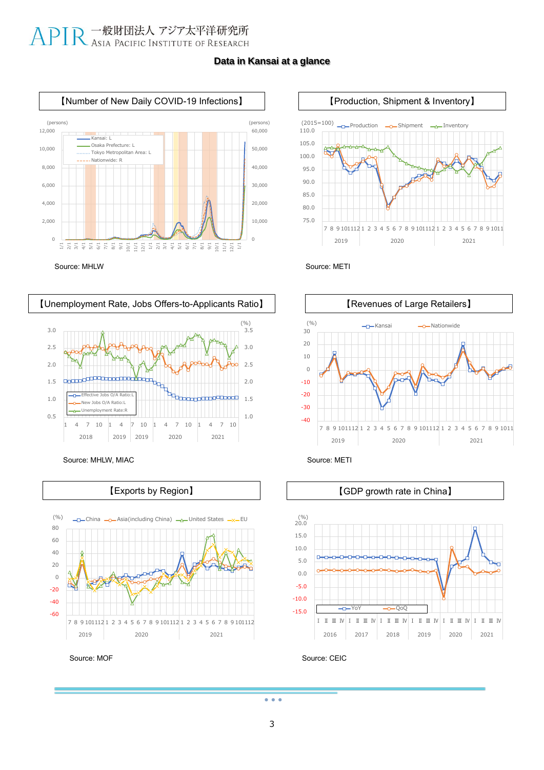## APIR 一般財団法人 アジア太平洋研究所

### **Data in Kansai at a glance**







Effective Jobs O/A Ratio:L New Jobs O/A Ratio: ovment Rate:

,0<sup>00000000000000</sup>000

0.5 1.0 1.5 2.0 2.5 3.0

pnooo





Source: CEIC

 $\bullet$   $\bullet$   $\bullet$